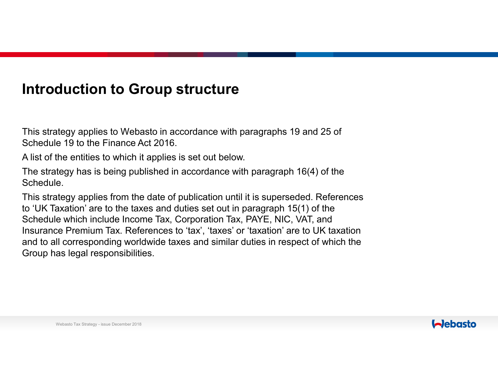#### **Introduction to Group structure**

This strategy applies to Webasto in accordance with paragraphs 19 and 25 of Schedule 19 to the Finance Act 2016.

A list of the entities to which it applies is set out below.

The strategy has is being published in accordance with paragraph 16(4) of the Schedule.

This strategy applies from the date of publication until it is superseded. References to 'UK Taxation' are to the taxes and duties set out in paragraph 15(1) of the Schedule which include Income Tax, Corporation Tax, PAYE, NIC, VAT, and Insurance Premium Tax. References to 'tax', 'taxes' or 'taxation' are to UK taxation and to all corresponding worldwide taxes and similar duties in respect of which the Group has legal responsibilities.

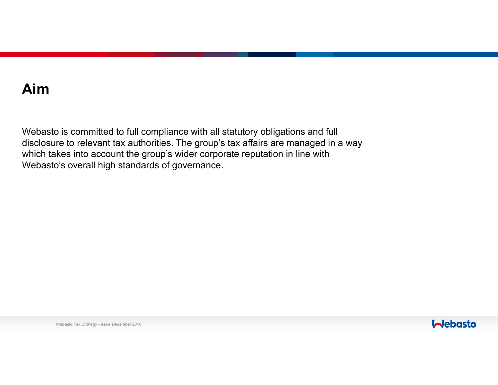# **Aim**

Webasto is committed to full compliance with all statutory obligations and full disclosure to relevant tax authorities. The group's tax affairs are managed in a way which takes into account the group's wider corporate reputation in line with Webasto's overall high standards of governance.

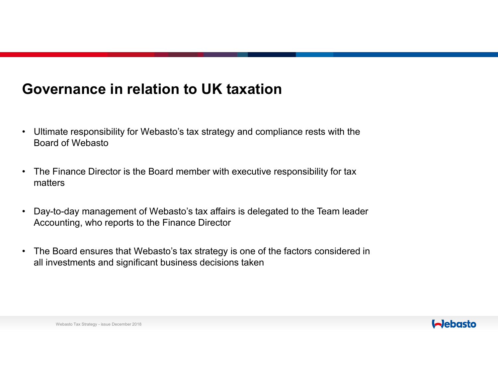## **Governance in relation to UK taxation**

- Ultimate responsibility for Webasto's tax strategy and compliance rests with the Board of Webasto
- $\bullet$  The Finance Director is the Board member with executive responsibility for tax matters
- • Day-to-day management of Webasto's tax affairs is delegated to the Team leader Accounting, who reports to the Finance Director
- The Board ensures that Webasto's tax strategy is one of the factors considered in<br>all investments and simificant business desisions taken. all investments and significant business decisions taken

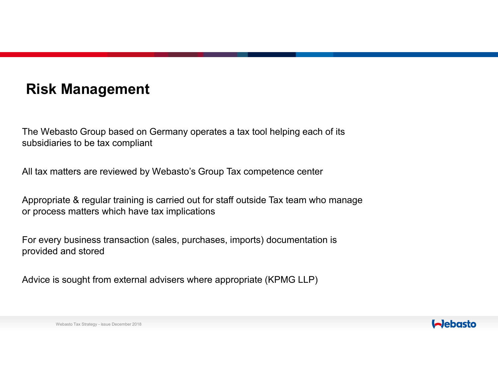## **Risk Management**

The Webasto Group based on Germany operates a tax tool helping each of its subsidiaries to be tax compliant

All tax matters are reviewed by Webasto's Group Tax competence center

Appropriate & regular training is carried out for staff outside Tax team who manage or process matters which have tax implications

For every business transaction (sales, purchases, imports) documentation is provided and stored

Advice is sought from external advisers where appropriate (KPMG LLP)

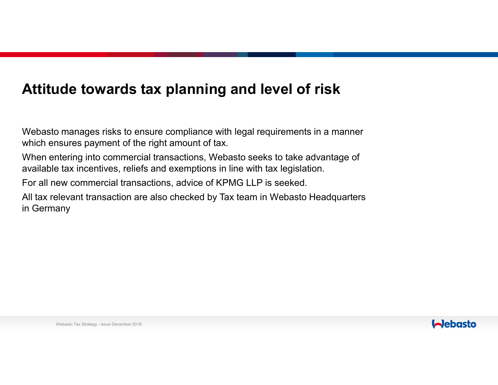### **Attitude towards tax planning and level of risk**

Webasto manages risks to ensure compliance with legal requirements in a manner which ensures payment of the right amount of tax.

When entering into commercial transactions, Webasto seeks to take advantage of available tax incentives, reliefs and exemptions in line with tax legislation.

For all new commercial transactions, advice of KPMG LLP is seeked.

All tax relevant transaction are also checked by Tax team in Webasto Headquarters in Germany

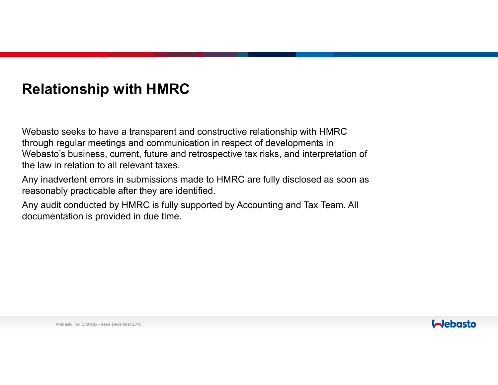## **Relationship with HMRC**

Webasto seeks to have a transparent and constructive relationship with HMRC through regular meetings and communication in respect of developments in Webasto's business, current, future and retrospective tax risks, and interpretation of the law in relation to all relevant taxes.

Any inadvertent errors in submissions made to HMRC are fully disclosed as soon as reasonably practicable after they are identified.

Any audit conducted by HMRC is fully supported by Accounting and Tax Team. All documentation is provided in due time.

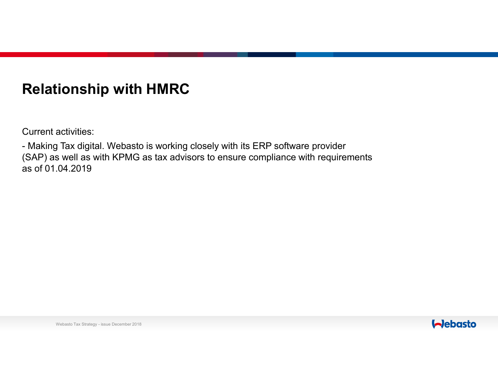## **Relationship with HMRC**

Current activities:

- Making Tax digital. Webasto is working closely with its ERP software provider (SAP) as well as with KPMG as tax advisors to ensure compliance with requirements as of 01.04.2019

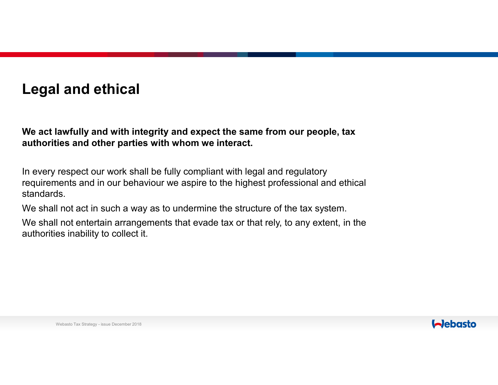## **Legal and ethical**

**We act lawfully and with integrity and expect the same from our people, tax authorities and other parties with whom we interact.**

In every respect our work shall be fully compliant with legal and regulatory requirements and in our behaviour we aspire to the highest professional and ethical standards.

We shall not act in such a way as to undermine the structure of the tax system.

We shall not entertain arrangements that evade tax or that rely, to any extent, in the authorities inability to collect it.

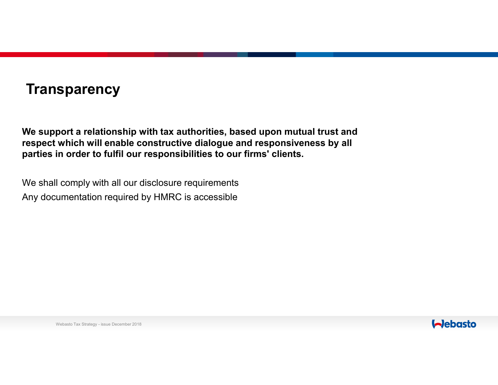## **Transparency**

**We support a relationship with tax authorities, based upon mutual trust and respect which will enable constructive dialogue and responsiveness by all parties in order to fulfil our responsibilities to our firms' clients.** 

We shall comply with all our disclosure requirementsAny documentation required by HMRC is accessible

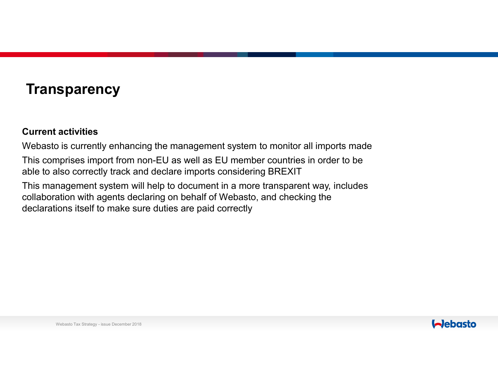## **Transparency**

#### **Current activities**

Webasto is currently enhancing the management system to monitor all imports made

This comprises import from non-EU as well as EU member countries in order to be able to also correctly track and declare imports considering BREXIT

This management system will help to document in a more transparent way, includes collaboration with agents declaring on behalf of Webasto, and checking the declarations itself to make sure duties are paid correctly